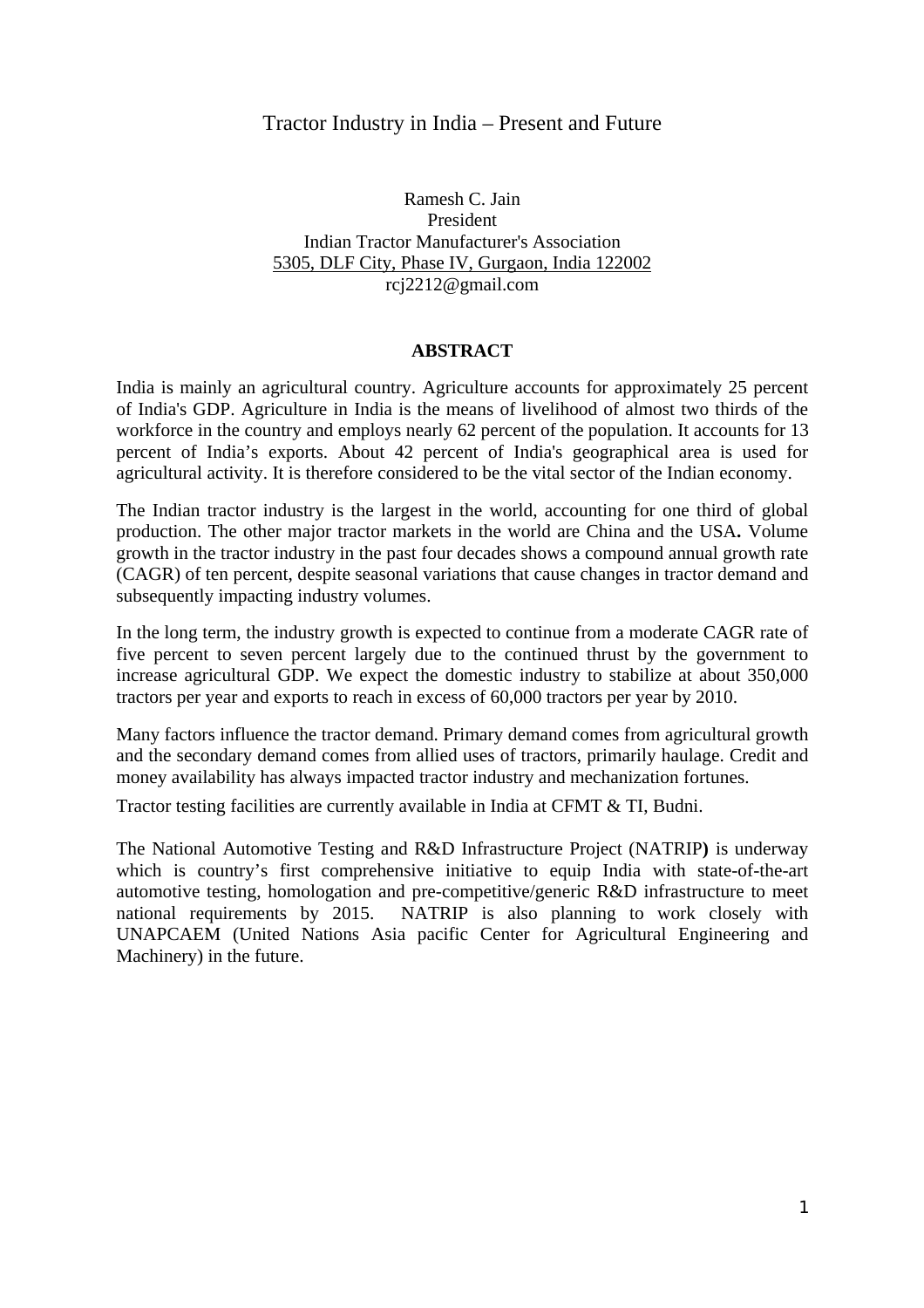# Tractor Industry in India – Present and Future

Ramesh C. Jain President Indian Tractor Manufacturer's Association 5305, DLF City, Phase IV, Gurgaon, India 122002 rcj2212@gmail.com

#### **ABSTRACT**

India is mainly an agricultural country. Agriculture accounts for approximately 25 percent of India's GDP. Agriculture in India is the means of livelihood of almost two thirds of the workforce in the country and employs nearly 62 percent of the population. It accounts for 13 percent of India's exports. About 42 percent of India's geographical area is used for agricultural activity. It is therefore considered to be the vital sector of the Indian economy.

The Indian tractor industry is the largest in the world, accounting for one third of global production. The other major tractor markets in the world are China and the USA**.** Volume growth in the tractor industry in the past four decades shows a compound annual growth rate (CAGR) of ten percent, despite seasonal variations that cause changes in tractor demand and subsequently impacting industry volumes.

In the long term, the industry growth is expected to continue from a moderate CAGR rate of five percent to seven percent largely due to the continued thrust by the government to increase agricultural GDP. We expect the domestic industry to stabilize at about 350,000 tractors per year and exports to reach in excess of 60,000 tractors per year by 2010.

Many factors influence the tractor demand. Primary demand comes from agricultural growth and the secondary demand comes from allied uses of tractors, primarily haulage. Credit and money availability has always impacted tractor industry and mechanization fortunes.

Tractor testing facilities are currently available in India at CFMT & TI, Budni.

The National Automotive Testing and R&D Infrastructure Project (NATRIP**)** is underway which is country's first comprehensive initiative to equip India with state-of-the-art automotive testing, homologation and pre-competitive/generic R&D infrastructure to meet national requirements by 2015. NATRIP is also planning to work closely with UNAPCAEM (United Nations Asia pacific Center for Agricultural Engineering and Machinery) in the future.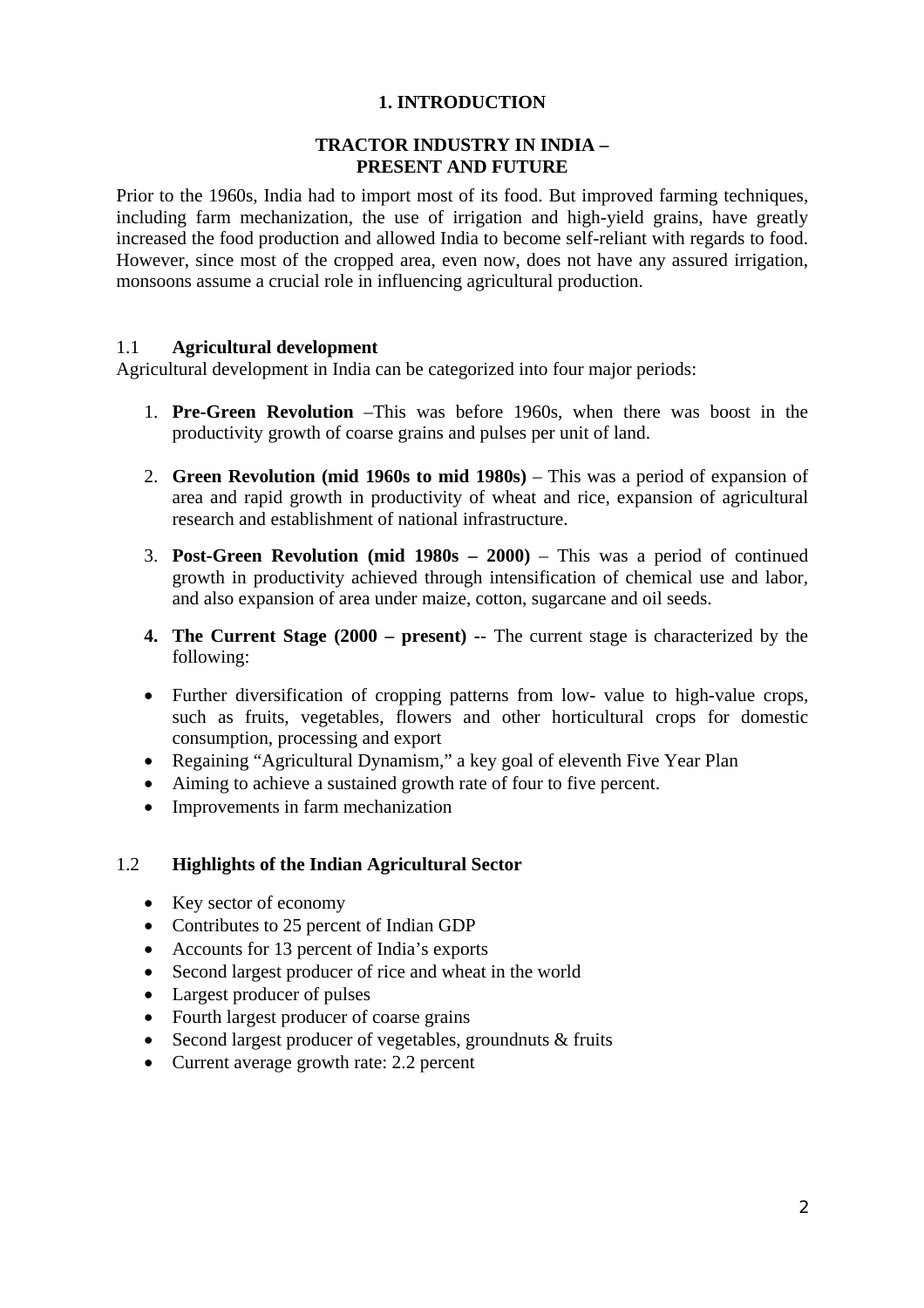## **1. INTRODUCTION**

### **TRACTOR INDUSTRY IN INDIA – PRESENT AND FUTURE**

Prior to the 1960s, India had to import most of its food. But improved farming techniques, including farm mechanization, the use of irrigation and high-yield grains, have greatly increased the food production and allowed India to become self-reliant with regards to food. However, since most of the cropped area, even now, does not have any assured irrigation, monsoons assume a crucial role in influencing agricultural production.

## 1.1 **Agricultural development**

Agricultural development in India can be categorized into four major periods:

- 1. **Pre-Green Revolution** –This was before 1960s, when there was boost in the productivity growth of coarse grains and pulses per unit of land.
- 2. **Green Revolution (mid 1960s to mid 1980s)** This was a period of expansion of area and rapid growth in productivity of wheat and rice, expansion of agricultural research and establishment of national infrastructure.
- 3. **Post-Green Revolution (mid 1980s 2000)** This was a period of continued growth in productivity achieved through intensification of chemical use and labor, and also expansion of area under maize, cotton, sugarcane and oil seeds.
- **4. The Current Stage (2000 present) -** The current stage is characterized by the following:
- Further diversification of cropping patterns from low- value to high-value crops, such as fruits, vegetables, flowers and other horticultural crops for domestic consumption, processing and export
- Regaining "Agricultural Dynamism," a key goal of eleventh Five Year Plan
- Aiming to achieve a sustained growth rate of four to five percent.
- Improvements in farm mechanization

#### 1.2 **Highlights of the Indian Agricultural Sector**

- Key sector of economy
- Contributes to 25 percent of Indian GDP
- Accounts for 13 percent of India's exports
- Second largest producer of rice and wheat in the world
- Largest producer of pulses
- Fourth largest producer of coarse grains
- Second largest producer of vegetables, groundnuts & fruits
- Current average growth rate: 2.2 percent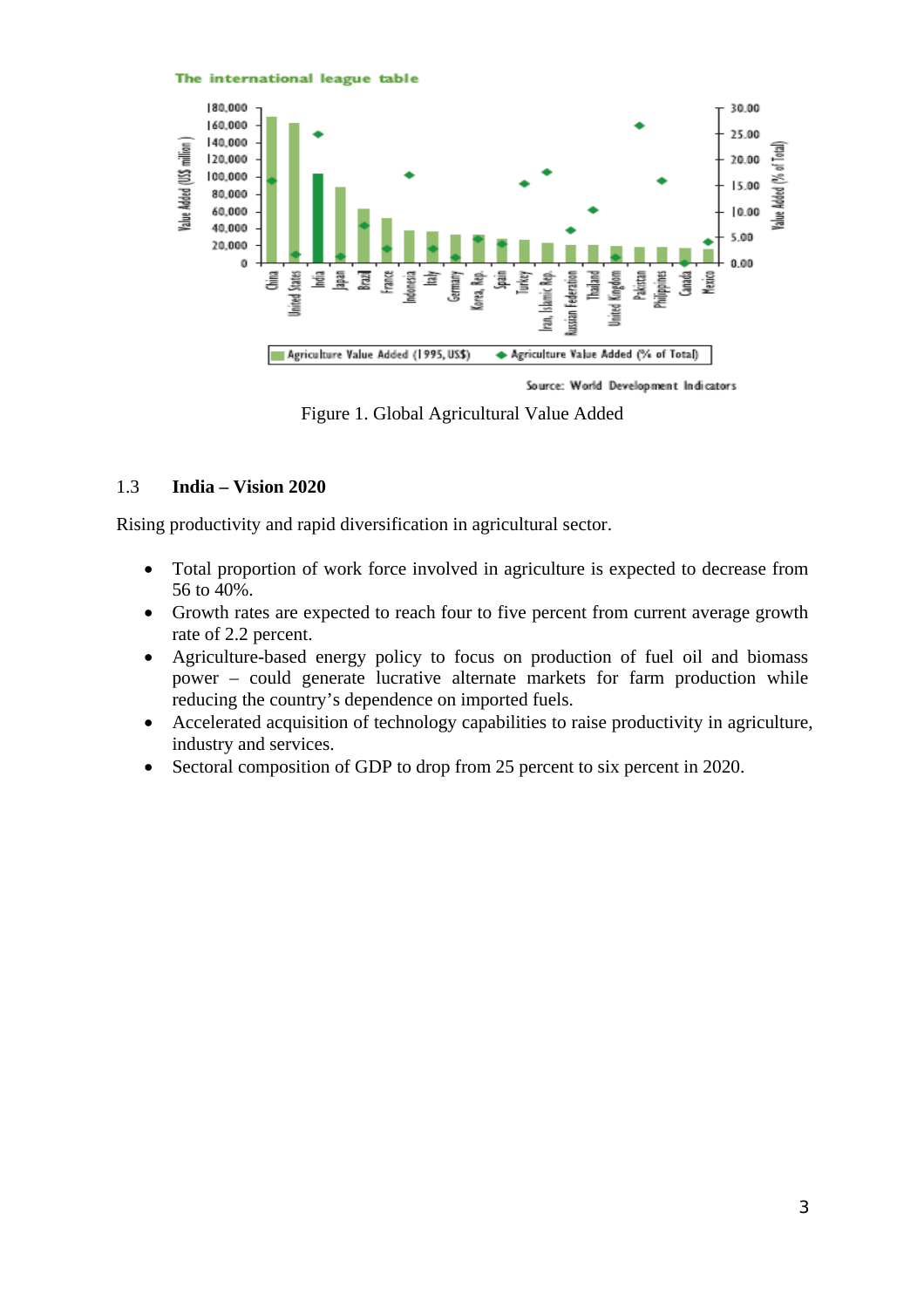

Source: World Development Indicators

Figure 1. Global Agricultural Value Added

## 1.3 **India – Vision 2020**

Rising productivity and rapid diversification in agricultural sector.

The international league table

- Total proportion of work force involved in agriculture is expected to decrease from 56 to 40%.
- Growth rates are expected to reach four to five percent from current average growth rate of 2.2 percent.
- Agriculture-based energy policy to focus on production of fuel oil and biomass power – could generate lucrative alternate markets for farm production while reducing the country's dependence on imported fuels.
- Accelerated acquisition of technology capabilities to raise productivity in agriculture, industry and services.
- Sectoral composition of GDP to drop from 25 percent to six percent in 2020.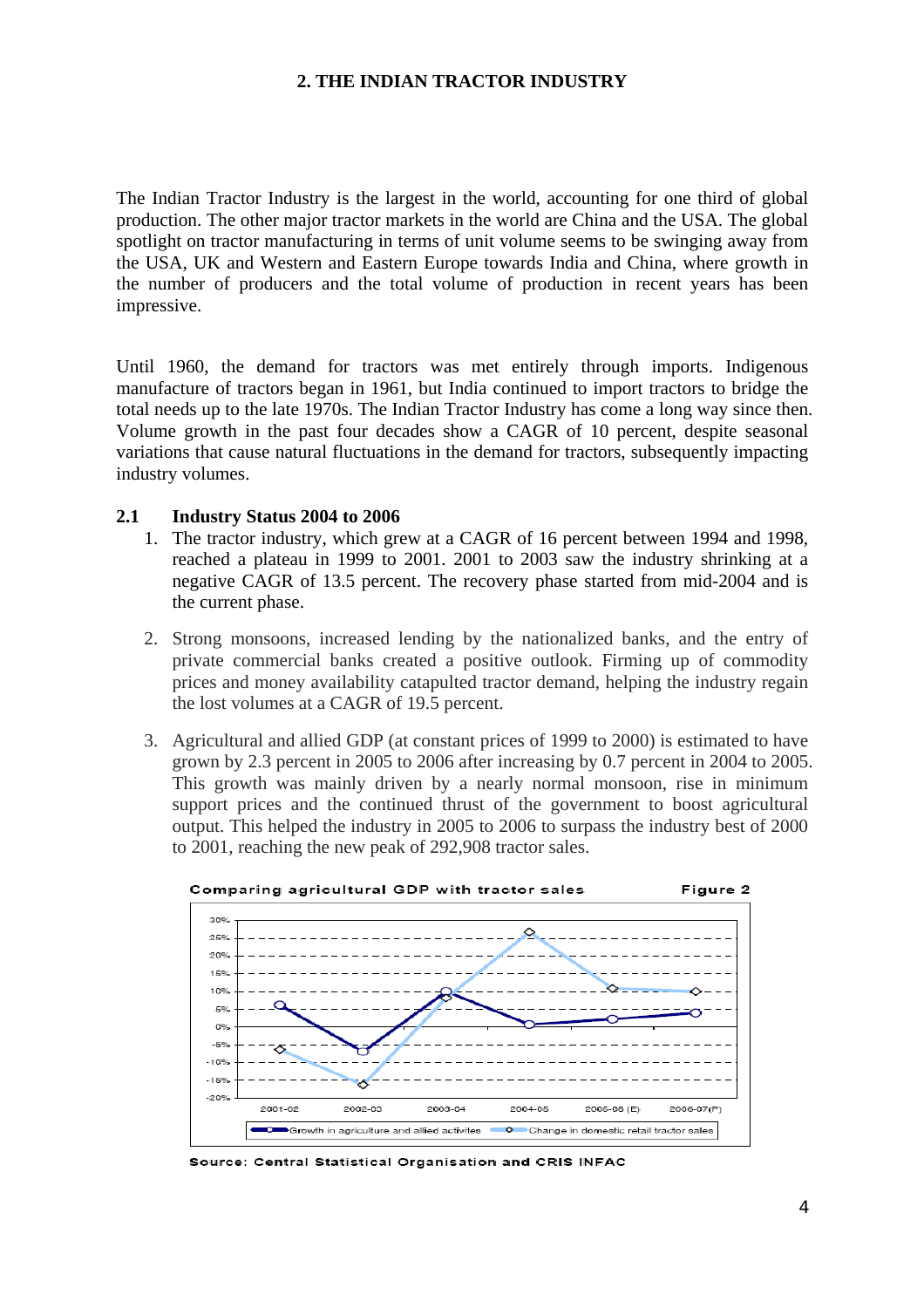#### **2. THE INDIAN TRACTOR INDUSTRY**

The Indian Tractor Industry is the largest in the world, accounting for one third of global production. The other major tractor markets in the world are China and the USA. The global spotlight on tractor manufacturing in terms of unit volume seems to be swinging away from the USA, UK and Western and Eastern Europe towards India and China, where growth in the number of producers and the total volume of production in recent years has been impressive.

Until 1960, the demand for tractors was met entirely through imports. Indigenous manufacture of tractors began in 1961, but India continued to import tractors to bridge the total needs up to the late 1970s. The Indian Tractor Industry has come a long way since then. Volume growth in the past four decades show a CAGR of 10 percent, despite seasonal variations that cause natural fluctuations in the demand for tractors, subsequently impacting industry volumes.

#### **2.1 Industry Status 2004 to 2006**

- 1. The tractor industry, which grew at a CAGR of 16 percent between 1994 and 1998, reached a plateau in 1999 to 2001. 2001 to 2003 saw the industry shrinking at a negative CAGR of 13.5 percent. The recovery phase started from mid-2004 and is the current phase.
- 2. Strong monsoons, increased lending by the nationalized banks, and the entry of private commercial banks created a positive outlook. Firming up of commodity prices and money availability catapulted tractor demand, helping the industry regain the lost volumes at a CAGR of 19.5 percent.
- 3. Agricultural and allied GDP (at constant prices of 1999 to 2000) is estimated to have grown by 2.3 percent in 2005 to 2006 after increasing by 0.7 percent in 2004 to 2005. This growth was mainly driven by a nearly normal monsoon, rise in minimum support prices and the continued thrust of the government to boost agricultural output. This helped the industry in 2005 to 2006 to surpass the industry best of 2000 to 2001, reaching the new peak of 292,908 tractor sales.



Source: Central Statistical Organisation and CRIS INFAC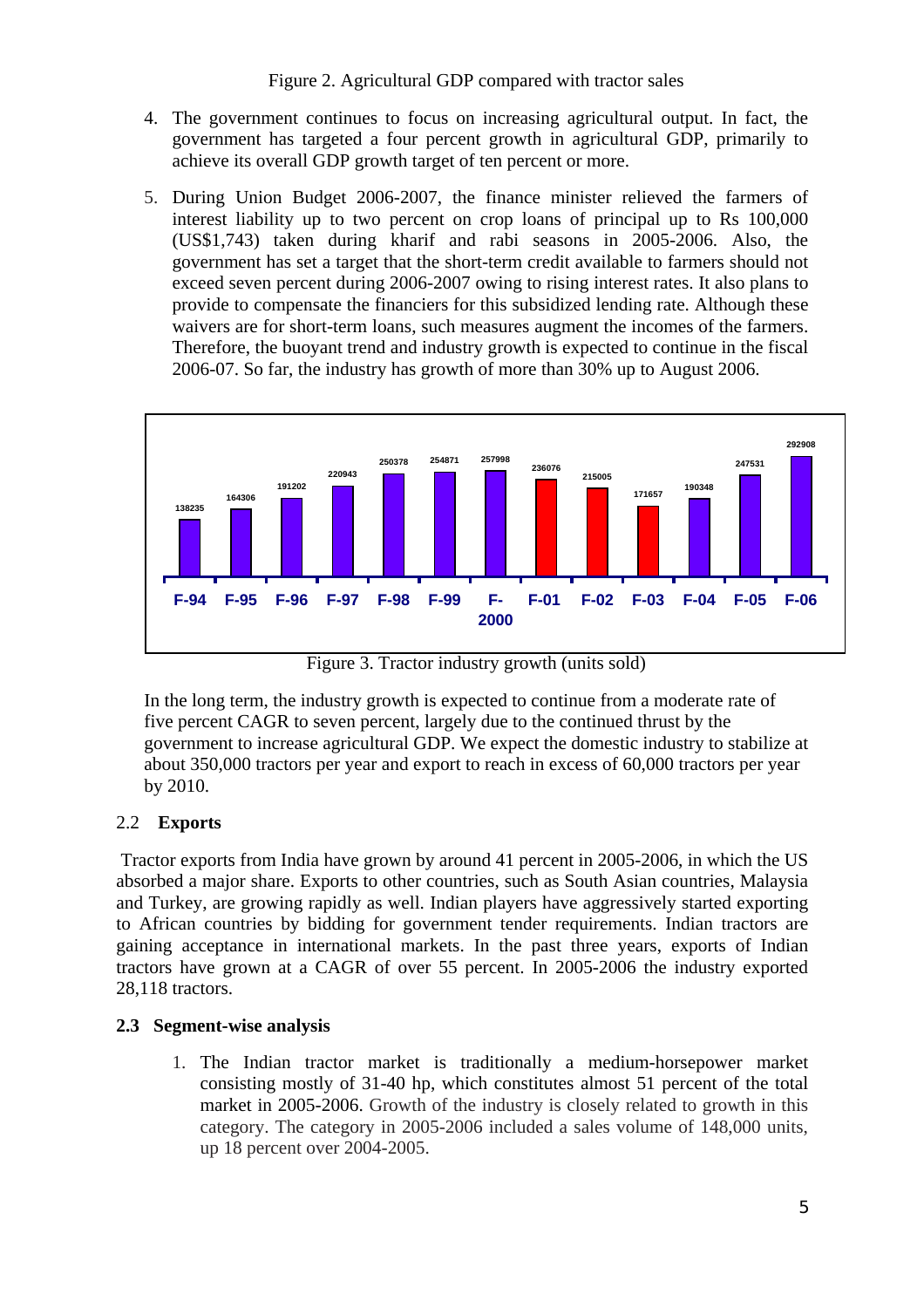- 4. The government continues to focus on increasing agricultural output. In fact, the government has targeted a four percent growth in agricultural GDP, primarily to achieve its overall GDP growth target of ten percent or more.
- 5. During Union Budget 2006-2007, the finance minister relieved the farmers of interest liability up to two percent on crop loans of principal up to Rs 100,000 (US\$1,743) taken during kharif and rabi seasons in 2005-2006. Also, the government has set a target that the short-term credit available to farmers should not exceed seven percent during 2006-2007 owing to rising interest rates. It also plans to provide to compensate the financiers for this subsidized lending rate. Although these waivers are for short-term loans, such measures augment the incomes of the farmers. Therefore, the buoyant trend and industry growth is expected to continue in the fiscal 2006-07. So far, the industry has growth of more than 30% up to August 2006.



Figure 3. Tractor industry growth (units sold)

In the long term, the industry growth is expected to continue from a moderate rate of five percent CAGR to seven percent, largely due to the continued thrust by the government to increase agricultural GDP. We expect the domestic industry to stabilize at about 350,000 tractors per year and export to reach in excess of 60,000 tractors per year by 2010.

# 2.2 **Exports**

 Tractor exports from India have grown by around 41 percent in 2005-2006, in which the US absorbed a major share. Exports to other countries, such as South Asian countries, Malaysia and Turkey, are growing rapidly as well. Indian players have aggressively started exporting to African countries by bidding for government tender requirements. Indian tractors are gaining acceptance in international markets. In the past three years, exports of Indian tractors have grown at a CAGR of over 55 percent. In 2005-2006 the industry exported 28,118 tractors.

# **2.3 Segment-wise analysis**

1. The Indian tractor market is traditionally a medium-horsepower market consisting mostly of 31-40 hp, which constitutes almost 51 percent of the total market in 2005-2006. Growth of the industry is closely related to growth in this category. The category in 2005-2006 included a sales volume of 148,000 units, up 18 percent over 2004-2005.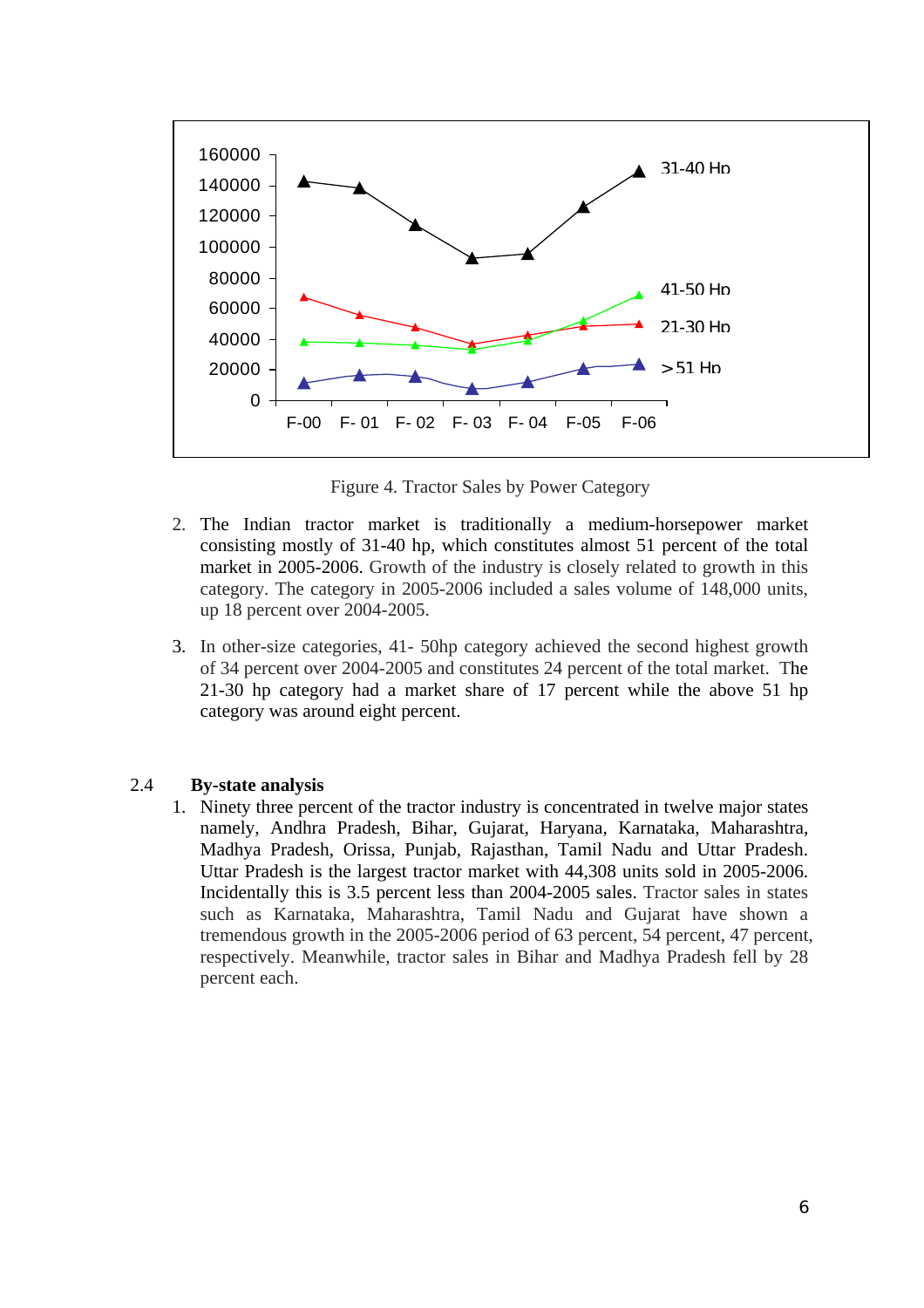

Figure 4. Tractor Sales by Power Category

- 2. The Indian tractor market is traditionally a medium-horsepower market consisting mostly of 31-40 hp, which constitutes almost 51 percent of the total market in 2005-2006. Growth of the industry is closely related to growth in this category. The category in 2005-2006 included a sales volume of 148,000 units, up 18 percent over 2004-2005.
- 3. In other-size categories, 41- 50hp category achieved the second highest growth of 34 percent over 2004-2005 and constitutes 24 percent of the total market. The 21-30 hp category had a market share of 17 percent while the above 51 hp category was around eight percent.

#### 2.4 **By-state analysis**

1. Ninety three percent of the tractor industry is concentrated in twelve major states namely, Andhra Pradesh, Bihar, Gujarat, Haryana, Karnataka, Maharashtra, Madhya Pradesh, Orissa, Punjab, Rajasthan, Tamil Nadu and Uttar Pradesh. Uttar Pradesh is the largest tractor market with 44,308 units sold in 2005-2006. Incidentally this is 3.5 percent less than 2004-2005 sales. Tractor sales in states such as Karnataka, Maharashtra, Tamil Nadu and Gujarat have shown a tremendous growth in the 2005-2006 period of 63 percent, 54 percent, 47 percent, respectively. Meanwhile, tractor sales in Bihar and Madhya Pradesh fell by 28 percent each.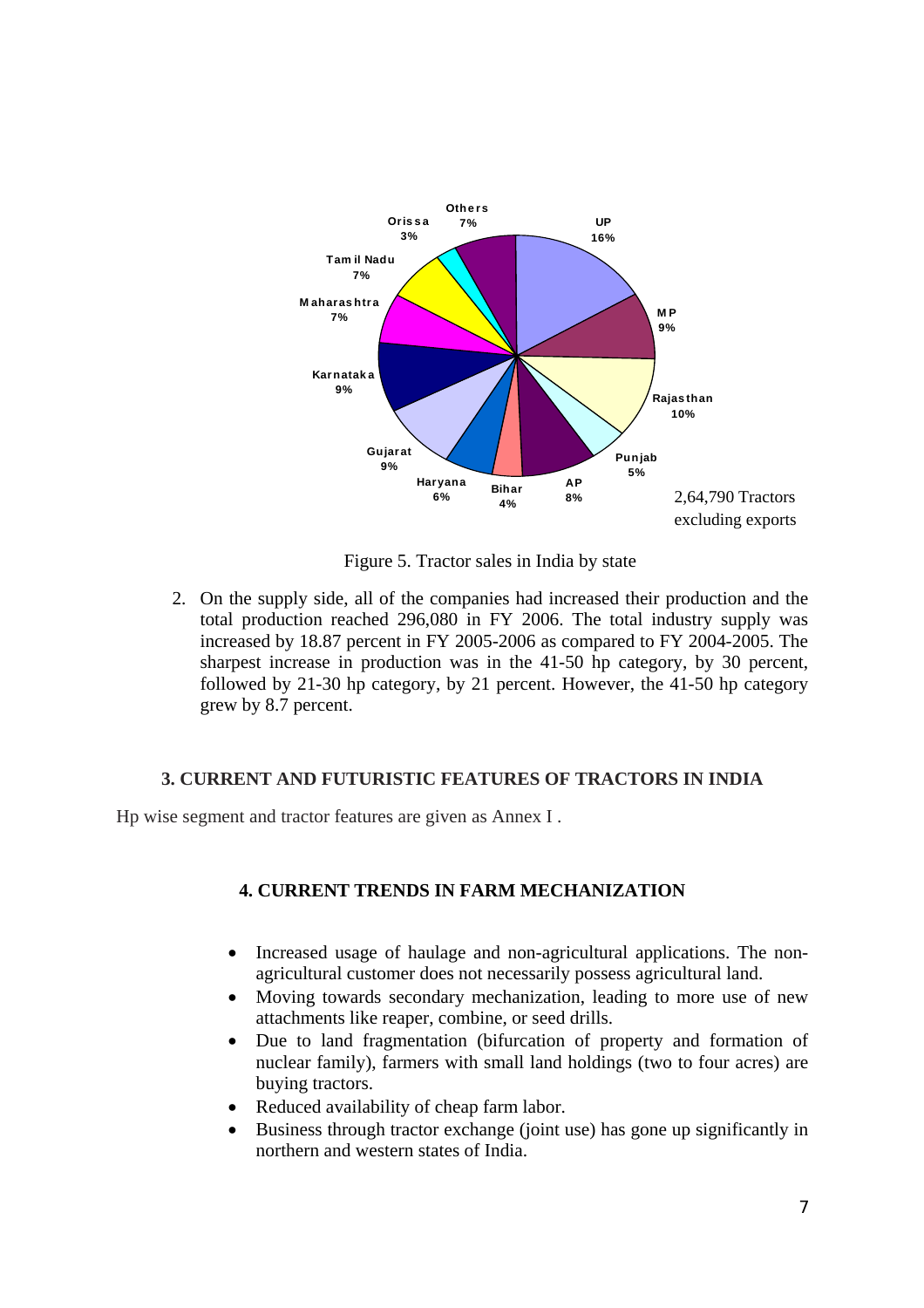

Figure 5. Tractor sales in India by state

2. On the supply side, all of the companies had increased their production and the total production reached 296,080 in FY 2006. The total industry supply was increased by 18.87 percent in FY 2005-2006 as compared to FY 2004-2005. The sharpest increase in production was in the 41-50 hp category, by 30 percent, followed by 21-30 hp category, by 21 percent. However, the 41-50 hp category grew by 8.7 percent.

## **3. CURRENT AND FUTURISTIC FEATURES OF TRACTORS IN INDIA**

Hp wise segment and tractor features are given as Annex I .

# **4. CURRENT TRENDS IN FARM MECHANIZATION**

- Increased usage of haulage and non-agricultural applications. The nonagricultural customer does not necessarily possess agricultural land.
- Moving towards secondary mechanization, leading to more use of new attachments like reaper, combine, or seed drills.
- Due to land fragmentation (bifurcation of property and formation of nuclear family), farmers with small land holdings (two to four acres) are buying tractors.
- Reduced availability of cheap farm labor.
- Business through tractor exchange (joint use) has gone up significantly in northern and western states of India.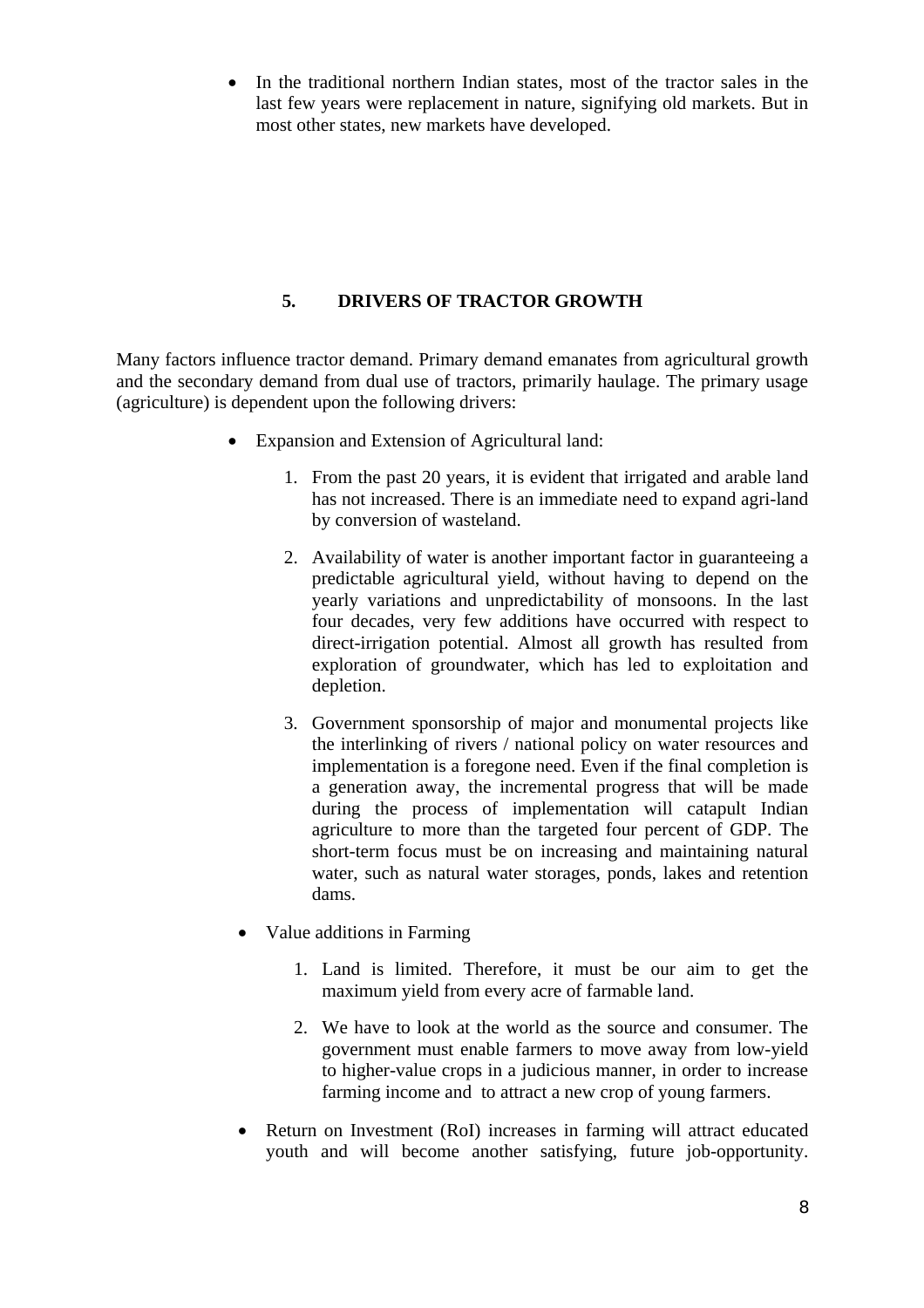• In the traditional northern Indian states, most of the tractor sales in the last few years were replacement in nature, signifying old markets. But in most other states, new markets have developed.

## **5. DRIVERS OF TRACTOR GROWTH**

Many factors influence tractor demand. Primary demand emanates from agricultural growth and the secondary demand from dual use of tractors, primarily haulage. The primary usage (agriculture) is dependent upon the following drivers:

- Expansion and Extension of Agricultural land:
	- 1. From the past 20 years, it is evident that irrigated and arable land has not increased. There is an immediate need to expand agri-land by conversion of wasteland.
	- 2. Availability of water is another important factor in guaranteeing a predictable agricultural yield, without having to depend on the yearly variations and unpredictability of monsoons. In the last four decades, very few additions have occurred with respect to direct-irrigation potential. Almost all growth has resulted from exploration of groundwater, which has led to exploitation and depletion.
	- 3. Government sponsorship of major and monumental projects like the interlinking of rivers / national policy on water resources and implementation is a foregone need. Even if the final completion is a generation away, the incremental progress that will be made during the process of implementation will catapult Indian agriculture to more than the targeted four percent of GDP. The short-term focus must be on increasing and maintaining natural water, such as natural water storages, ponds, lakes and retention dams.
	- Value additions in Farming
		- 1. Land is limited. Therefore, it must be our aim to get the maximum yield from every acre of farmable land.
		- 2. We have to look at the world as the source and consumer. The government must enable farmers to move away from low-yield to higher-value crops in a judicious manner, in order to increase farming income and to attract a new crop of young farmers.
	- Return on Investment (RoI) increases in farming will attract educated youth and will become another satisfying, future job-opportunity.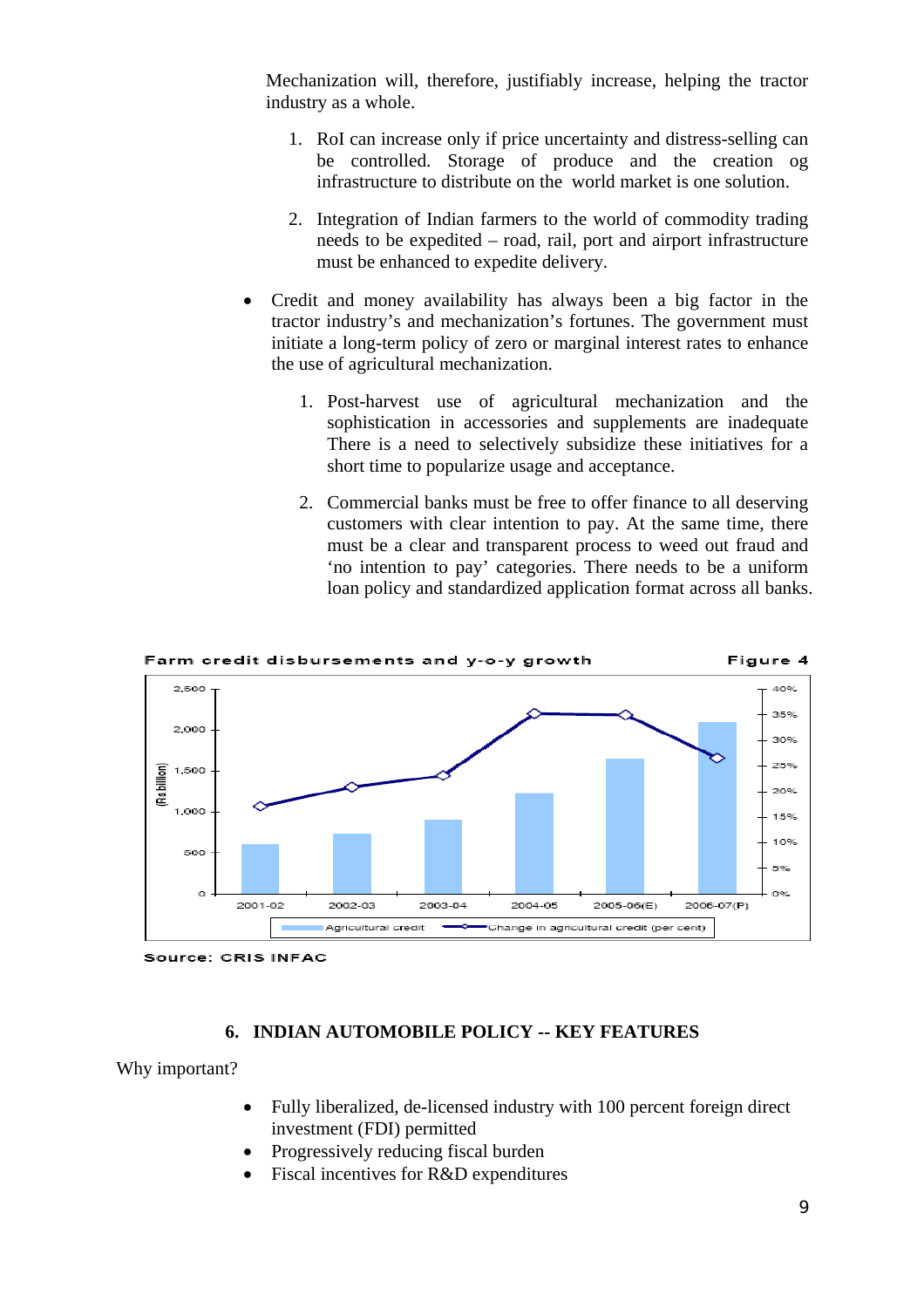Mechanization will, therefore, justifiably increase, helping the tractor industry as a whole.

- 1. RoI can increase only if price uncertainty and distress-selling can be controlled. Storage of produce and the creation og infrastructure to distribute on the world market is one solution.
- 2. Integration of Indian farmers to the world of commodity trading needs to be expedited – road, rail, port and airport infrastructure must be enhanced to expedite delivery.
- Credit and money availability has always been a big factor in the tractor industry's and mechanization's fortunes. The government must initiate a long-term policy of zero or marginal interest rates to enhance the use of agricultural mechanization.
	- 1. Post-harvest use of agricultural mechanization and the sophistication in accessories and supplements are inadequate There is a need to selectively subsidize these initiatives for a short time to popularize usage and acceptance.
	- 2. Commercial banks must be free to offer finance to all deserving customers with clear intention to pay. At the same time, there must be a clear and transparent process to weed out fraud and 'no intention to pay' categories. There needs to be a uniform loan policy and standardized application format across all banks.



**Source: CRIS INFAC** 

## **6. INDIAN AUTOMOBILE POLICY -- KEY FEATURES**

Why important?

- Fully liberalized, de-licensed industry with 100 percent foreign direct investment (FDI) permitted
- Progressively reducing fiscal burden
- Fiscal incentives for R&D expenditures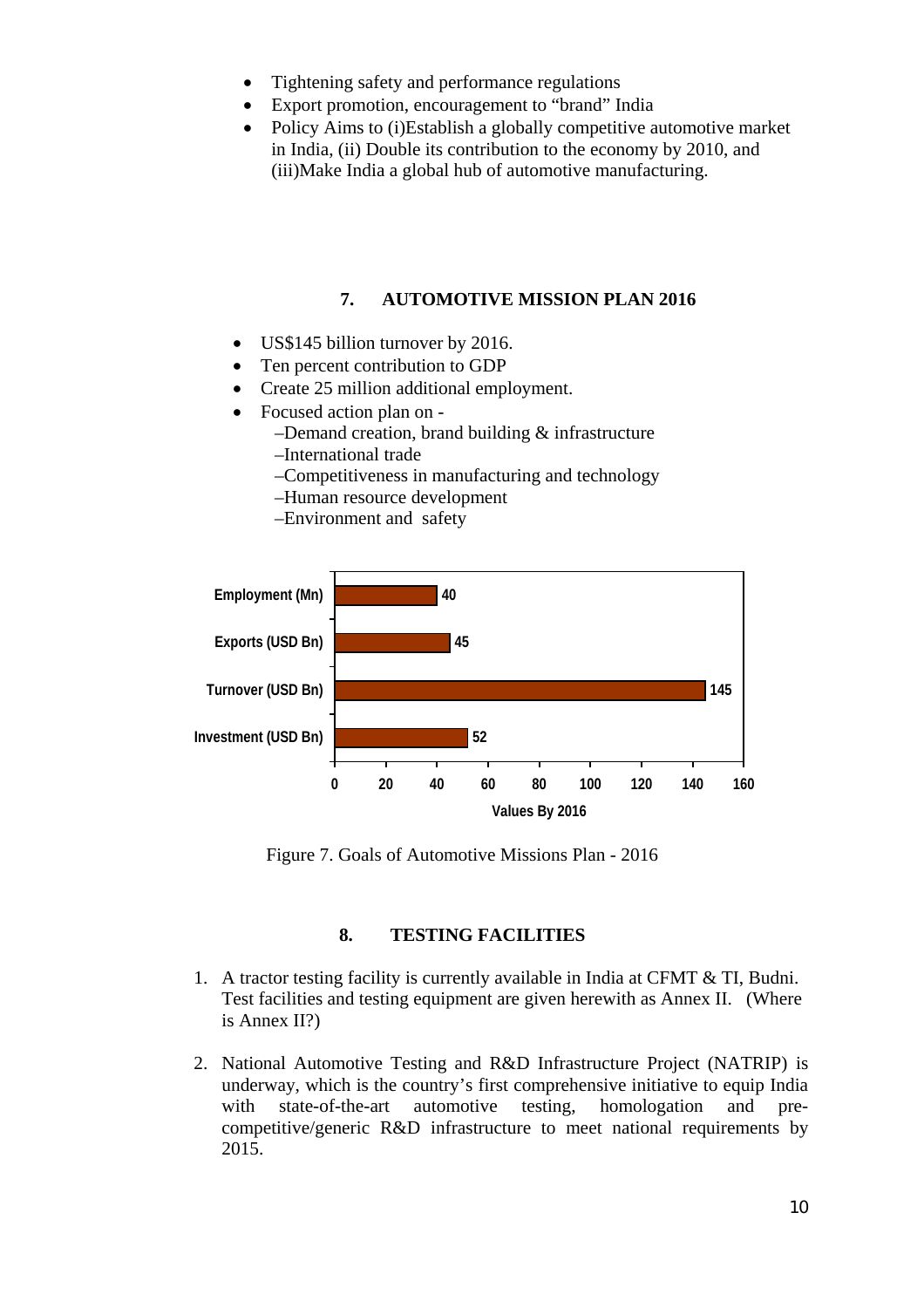- Tightening safety and performance regulations
- Export promotion, encouragement to "brand" India
- Policy Aims to (i) Establish a globally competitive automotive market in India, (ii) Double its contribution to the economy by 2010, and (iii)Make India a global hub of automotive manufacturing.

## **7. AUTOMOTIVE MISSION PLAN 2016**

- US\$145 billion turnover by 2016.
- Ten percent contribution to GDP
- Create 25 million additional employment.
- Focused action plan on
	- –Demand creation, brand building & infrastructure
	- –International trade
	- –Competitiveness in manufacturing and technology
	- –Human resource development
	- –Environment and safety



Figure 7. Goals of Automotive Missions Plan - 2016

### **8. TESTING FACILITIES**

- 1. A tractor testing facility is currently available in India at CFMT & TI, Budni. Test facilities and testing equipment are given herewith as Annex II. (Where is Annex II?)
- 2. National Automotive Testing and R&D Infrastructure Project (NATRIP) is underway, which is the country's first comprehensive initiative to equip India with state-of-the-art automotive testing, homologation and precompetitive/generic R&D infrastructure to meet national requirements by 2015.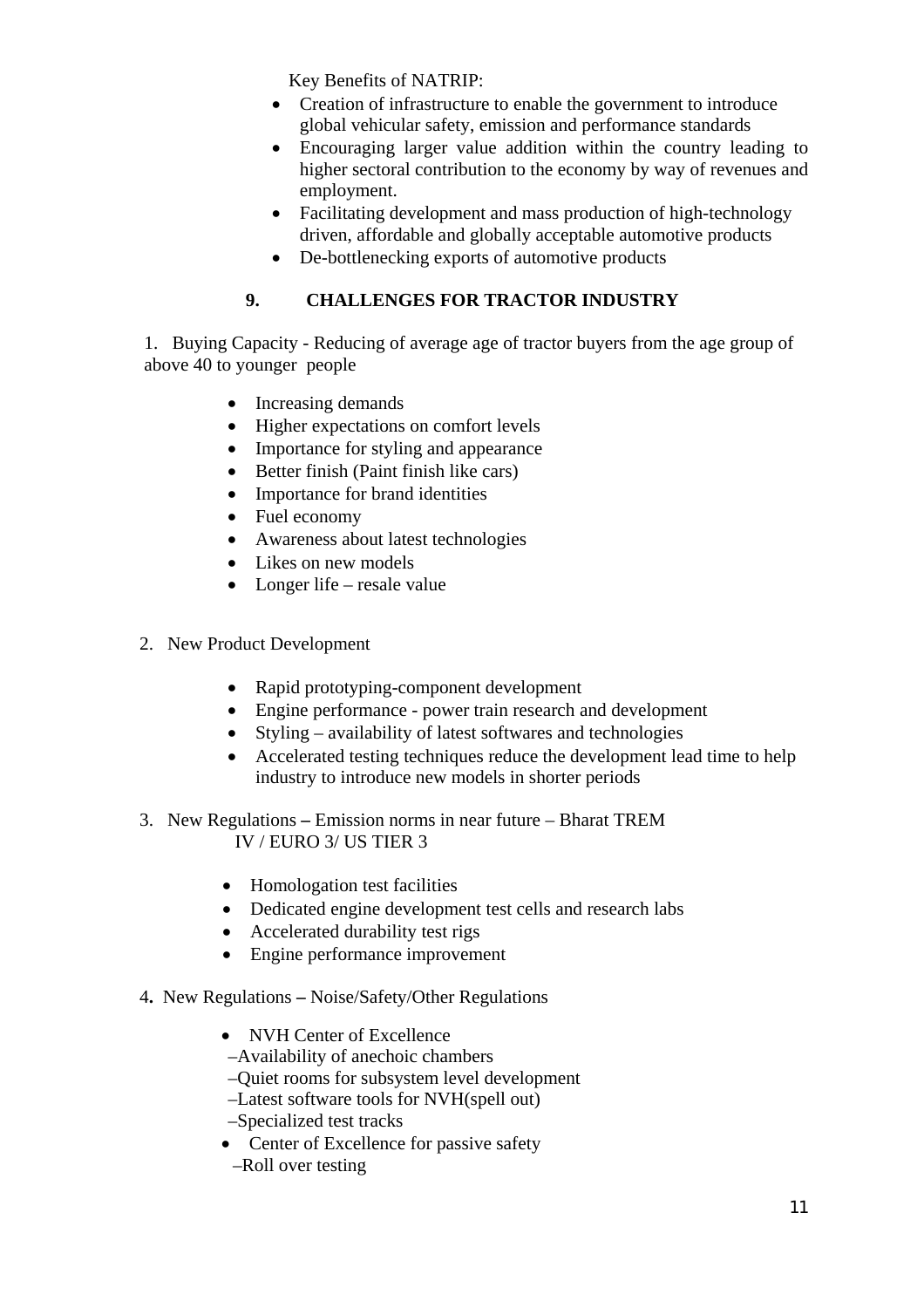Key Benefits of NATRIP:

- Creation of infrastructure to enable the government to introduce global vehicular safety, emission and performance standards
- Encouraging larger value addition within the country leading to higher sectoral contribution to the economy by way of revenues and employment.
- Facilitating development and mass production of high-technology driven, affordable and globally acceptable automotive products
- De-bottlenecking exports of automotive products

# **9. CHALLENGES FOR TRACTOR INDUSTRY**

1. Buying Capacity - Reducing of average age of tractor buyers from the age group of above 40 to younger people

- Increasing demands
- Higher expectations on comfort levels
- Importance for styling and appearance
- Better finish (Paint finish like cars)
- Importance for brand identities
- Fuel economy
- Awareness about latest technologies
- Likes on new models
- Longer life resale value
- 2. New Product Development
	- Rapid prototyping-component development
	- Engine performance power train research and development
	- Styling availability of latest softwares and technologies
	- Accelerated testing techniques reduce the development lead time to help industry to introduce new models in shorter periods
- 3. New RegulationsEmission norms in near future Bharat TREM IV / EURO 3/ US TIER 3
	- Homologation test facilities
	- Dedicated engine development test cells and research labs
	- Accelerated durability test rigs
	- Engine performance improvement
- 4**.** New RegulationsNoise/Safety/Other Regulations
	- NVH Center of Excellence
	- –Availability of anechoic chambers
	- –Quiet rooms for subsystem level development
	- –Latest software tools for NVH(spell out)
	- –Specialized test tracks
	- Center of Excellence for passive safety
		- –Roll over testing